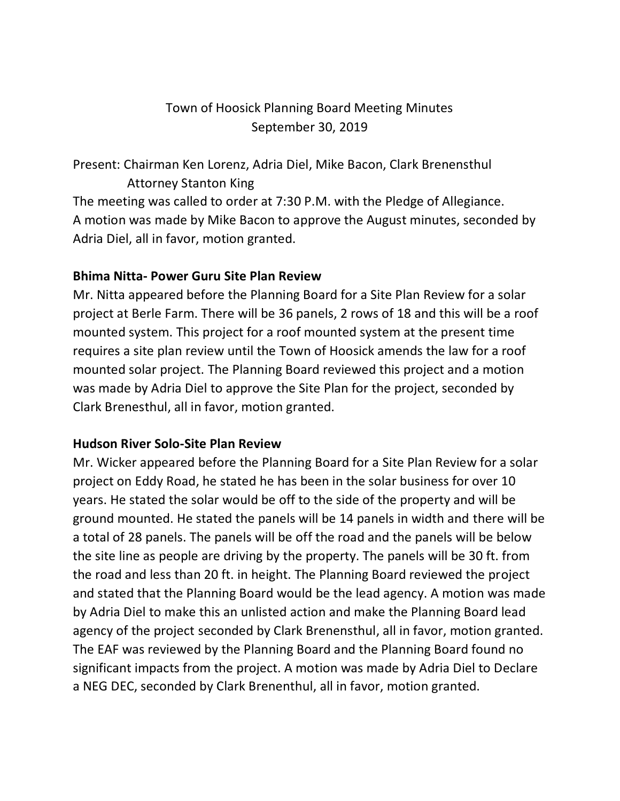## Town of Hoosick Planning Board Meeting Minutes September 30, 2019

Present: Chairman Ken Lorenz, Adria Diel, Mike Bacon, Clark Brenensthul Attorney Stanton King The meeting was called to order at 7:30 P.M. with the Pledge of Allegiance. A motion was made by Mike Bacon to approve the August minutes, seconded by Adria Diel, all in favor, motion granted.

### **Bhima Nitta- Power Guru Site Plan Review**

Mr. Nitta appeared before the Planning Board for a Site Plan Review for a solar project at Berle Farm. There will be 36 panels, 2 rows of 18 and this will be a roof mounted system. This project for a roof mounted system at the present time requires a site plan review until the Town of Hoosick amends the law for a roof mounted solar project. The Planning Board reviewed this project and a motion was made by Adria Diel to approve the Site Plan for the project, seconded by Clark Brenesthul, all in favor, motion granted.

### **Hudson River Solo-Site Plan Review**

Mr. Wicker appeared before the Planning Board for a Site Plan Review for a solar project on Eddy Road, he stated he has been in the solar business for over 10 years. He stated the solar would be off to the side of the property and will be ground mounted. He stated the panels will be 14 panels in width and there will be a total of 28 panels. The panels will be off the road and the panels will be below the site line as people are driving by the property. The panels will be 30 ft. from the road and less than 20 ft. in height. The Planning Board reviewed the project and stated that the Planning Board would be the lead agency. A motion was made by Adria Diel to make this an unlisted action and make the Planning Board lead agency of the project seconded by Clark Brenensthul, all in favor, motion granted. The EAF was reviewed by the Planning Board and the Planning Board found no significant impacts from the project. A motion was made by Adria Diel to Declare a NEG DEC, seconded by Clark Brenenthul, all in favor, motion granted.